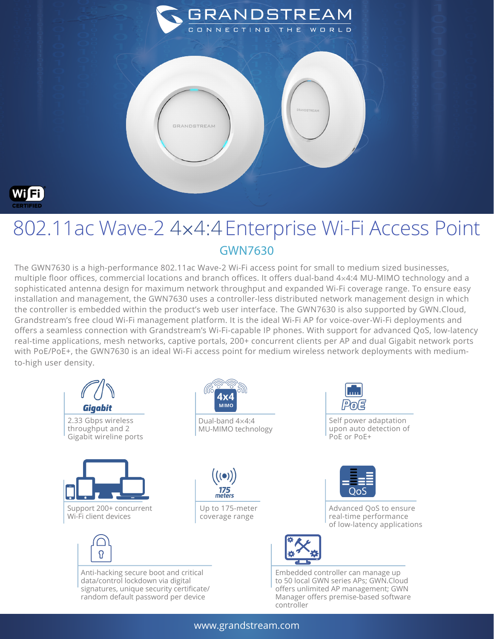

## 802.11ac Wave-2 4×4:4Enterprise Wi-Fi Access Point GWN7630

**GRANDSTREAM** 

**GRANDSTREAM** 

The GWN7630 is a high-performance 802.11ac Wave-2 Wi-Fi access point for small to medium sized businesses, multiple floor offices, commercial locations and branch offices. It offers dual-band 4×4:4 MU-MIMO technology and a sophisticated antenna design for maximum network throughput and expanded Wi-Fi coverage range. To ensure easy installation and management, the GWN7630 uses a controller-less distributed network management design in which the controller is embedded within the product's web user interface. The GWN7630 is also supported by GWN.Cloud, Grandstream's free cloud Wi-Fi management platform. It is the ideal Wi-Fi AP for voice-over-Wi-Fi deployments and offers a seamless connection with Grandstream's Wi-Fi-capable IP phones. With support for advanced QoS, low-latency real-time applications, mesh networks, captive portals, 200+ concurrent clients per AP and dual Gigabit network ports with PoE/PoE+, the GWN7630 is an ideal Wi-Fi access point for medium wireless network deployments with mediumto-high user density.



www.grandstream.com